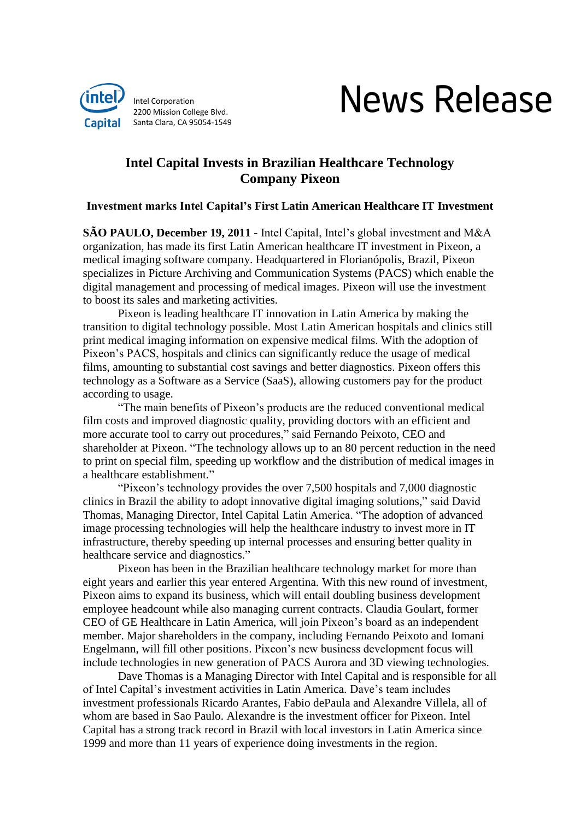

# **News Release**

# **Intel Capital Invests in Brazilian Healthcare Technology Company Pixeon**

## **Investment marks Intel Capital's First Latin American Healthcare IT Investment**

**SÃO PAULO, December 19, 2011** - Intel Capital, Intel's global investment and M&A organization, has made its first Latin American healthcare IT investment in Pixeon, a medical imaging software company. Headquartered in Florianópolis, Brazil, Pixeon specializes in Picture Archiving and Communication Systems (PACS) which enable the digital management and processing of medical images. Pixeon will use the investment to boost its sales and marketing activities.

Pixeon is leading healthcare IT innovation in Latin America by making the transition to digital technology possible. Most Latin American hospitals and clinics still print medical imaging information on expensive medical films. With the adoption of Pixeon's PACS, hospitals and clinics can significantly reduce the usage of medical films, amounting to substantial cost savings and better diagnostics. Pixeon offers this technology as a Software as a Service (SaaS), allowing customers pay for the product according to usage.

"The main benefits of Pixeon's products are the reduced conventional medical film costs and improved diagnostic quality, providing doctors with an efficient and more accurate tool to carry out procedures," said Fernando Peixoto, CEO and shareholder at Pixeon. "The technology allows up to an 80 percent reduction in the need to print on special film, speeding up workflow and the distribution of medical images in a healthcare establishment."

"Pixeon's technology provides the over 7,500 hospitals and 7,000 diagnostic clinics in Brazil the ability to adopt innovative digital imaging solutions," said David Thomas, Managing Director, Intel Capital Latin America. "The adoption of advanced image processing technologies will help the healthcare industry to invest more in IT infrastructure, thereby speeding up internal processes and ensuring better quality in healthcare service and diagnostics."

Pixeon has been in the Brazilian healthcare technology market for more than eight years and earlier this year entered Argentina. With this new round of investment, Pixeon aims to expand its business, which will entail doubling business development employee headcount while also managing current contracts. Claudia Goulart, former CEO of GE Healthcare in Latin America, will join Pixeon's board as an independent member. Major shareholders in the company, including Fernando Peixoto and Iomani Engelmann, will fill other positions. Pixeon's new business development focus will include technologies in new generation of PACS Aurora and 3D viewing technologies.

Dave Thomas is a Managing Director with Intel Capital and is responsible for all of Intel Capital's investment activities in Latin America. Dave's team includes investment professionals Ricardo Arantes, Fabio dePaula and Alexandre Villela, all of whom are based in Sao Paulo. Alexandre is the investment officer for Pixeon. Intel Capital has a strong track record in Brazil with local investors in Latin America since 1999 and more than 11 years of experience doing investments in the region.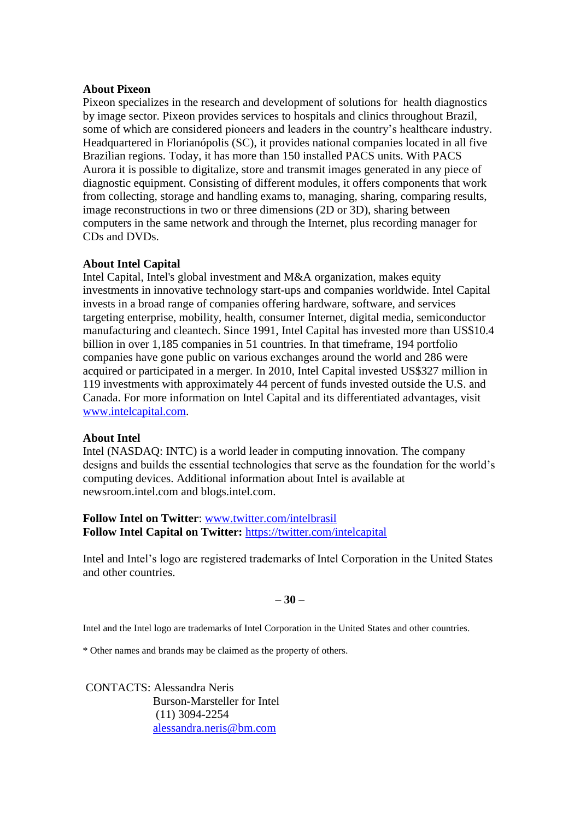### **About Pixeon**

Pixeon specializes in the research and development of solutions for health diagnostics by image sector. Pixeon provides services to hospitals and clinics throughout Brazil, some of which are considered pioneers and leaders in the country's healthcare industry. Headquartered in Florianópolis (SC), it provides national companies located in all five Brazilian regions. Today, it has more than 150 installed PACS units. With PACS Aurora it is possible to digitalize, store and transmit images generated in any piece of diagnostic equipment. Consisting of different modules, it offers components that work from collecting, storage and handling exams to, managing, sharing, comparing results, image reconstructions in two or three dimensions (2D or 3D), sharing between computers in the same network and through the Internet, plus recording manager for CDs and DVDs.

# **About Intel Capital**

Intel Capital, Intel's global investment and M&A organization, makes equity investments in innovative technology start-ups and companies worldwide. Intel Capital invests in a broad range of companies offering hardware, software, and services targeting enterprise, mobility, health, consumer Internet, digital media, semiconductor manufacturing and cleantech. Since 1991, Intel Capital has invested more than US\$10.4 billion in over 1,185 companies in 51 countries. In that timeframe, 194 portfolio companies have gone public on various exchanges around the world and 286 were acquired or participated in a merger. In 2010, Intel Capital invested US\$327 million in 119 investments with approximately 44 percent of funds invested outside the U.S. and Canada. For more information on Intel Capital and its differentiated advantages, visit [www.intelcapital.com.](http://www.intelcapital.com/)

#### **About Intel**

Intel (NASDAQ: INTC) is a world leader in computing innovation. The company designs and builds the essential technologies that serve as the foundation for the world's computing devices. Additional information about Intel is available at newsroom.intel.com and blogs.intel.com.

# **Follow Intel on Twitter**: [www.twitter.com/intelbrasil](http://www.twitter.com/intelbrasil) **Follow Intel Capital on Twitter:** <https://twitter.com/intelcapital>

Intel and Intel's logo are registered trademarks of Intel Corporation in the United States and other countries.

### **– 30 –**

Intel and the Intel logo are trademarks of Intel Corporation in the United States and other countries.

\* Other names and brands may be claimed as the property of others.

CONTACTS: Alessandra Neris Burson-Marsteller for Intel (11) 3094-2254 [alessandra.neris@bm.com](mailto:alessandra.neris@bm.com)